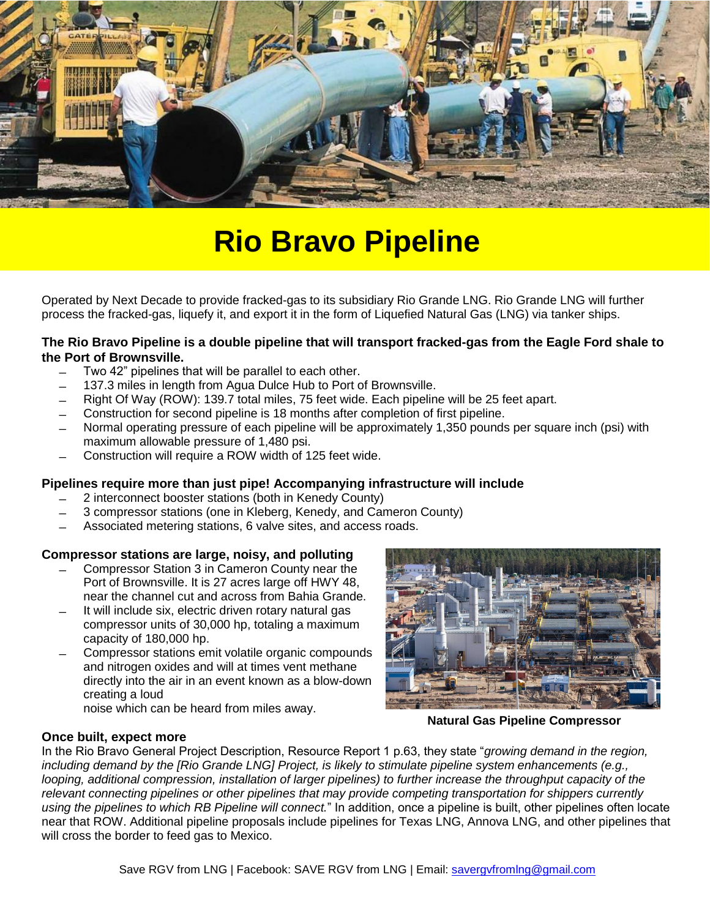

# **Rio Bravo Pipeline**

Operated by Next Decade to provide fracked-gas to its subsidiary Rio Grande LNG. Rio Grande LNG will further process the fracked-gas, liquefy it, and export it in the form of Liquefied Natural Gas (LNG) via tanker ships.

# **The Rio Bravo Pipeline is a double pipeline that will transport fracked-gas from the Eagle Ford shale to the Port of Brownsville.**

- ̶ Two 42" pipelines that will be parallel to each other.
- ̶ 137.3 miles in length from Agua Dulce Hub to Port of Brownsville.
- ̶ Right Of Way (ROW): 139.7 total miles, 75 feet wide. Each pipeline will be 25 feet apart.
- ̶ Construction for second pipeline is 18 months after completion of first pipeline.
- ̶ Normal operating pressure of each pipeline will be approximately 1,350 pounds per square inch (psi) with maximum allowable pressure of 1,480 psi.
- ̶ Construction will require a ROW width of 125 feet wide.

# **Pipelines require more than just pipe! Accompanying infrastructure will include**

- ̶ 2 interconnect booster stations (both in Kenedy County)
- ̶ 3 compressor stations (one in Kleberg, Kenedy, and Cameron County)
- Associated metering stations, 6 valve sites, and access roads.

# **Compressor stations are large, noisy, and polluting**

- ̶ Compressor Station 3 in Cameron County near the Port of Brownsville. It is 27 acres large off HWY 48, near the channel cut and across from Bahia Grande.
- It will include six, electric driven rotary natural gas compressor units of 30,000 hp, totaling a maximum capacity of 180,000 hp.
- ̶ Compressor stations emit volatile organic compounds and nitrogen oxides and will at times vent methane directly into the air in an event known as a blow-down creating a loud

noise which can be heard from miles away.

**Natural Gas Pipeline Compressor** 

# **Once built, expect more**

In the Rio Bravo General Project Description, Resource Report 1 p.63, they state "*growing demand in the region, including demand by the [Rio Grande LNG] Project, is likely to stimulate pipeline system enhancements (e.g., looping, additional compression, installation of larger pipelines) to further increase the throughput capacity of the relevant connecting pipelines or other pipelines that may provide competing transportation for shippers currently using the pipelines to which RB Pipeline will connect.*" In addition, once a pipeline is built, other pipelines often locate near that ROW. Additional pipeline proposals include pipelines for Texas LNG, Annova LNG, and other pipelines that will cross the border to feed gas to Mexico.